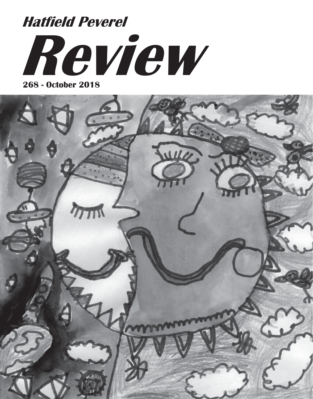# **Review Hatfield Peverel**

**268 - October 2018**

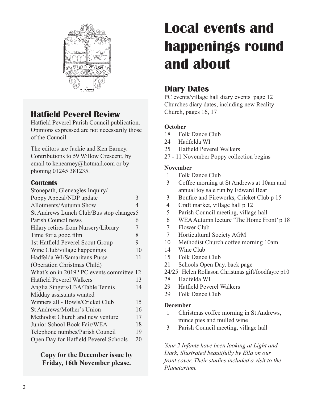

## **Hatfield Peverel Review**

Hatfield Peverel Parish Council publication. Opinions expressed are not necessarily those of the Council.

The editors are Jackie and Ken Earney. Contributions to 59 Willow Crescent, by email to kenearney@hotmail.com or by phoning 01245 381235.

#### **Contents**

| Stonepath, Gleneagles Inquiry/            |    |
|-------------------------------------------|----|
| Poppy Appeal/NDP update                   | 3  |
| Allotments/Autumn Show                    | 4  |
| St Andrews Lunch Club/Bus stop changes 5  |    |
| Parish Council news                       | 6  |
| Hilary retires from Nursery/Library       | 7  |
| Time for a good film                      | 8  |
| 1st Hatfield Peverel Scout Group          | 9  |
| Wine Club/village happenings              | 10 |
| Hadfelda WI/Samaritans Purse              | 11 |
| (Operation Christmas Child)               |    |
| What's on in 2019? PC events committee 12 |    |
| <b>Hatfield Peverel Walkers</b>           | 13 |
| Anglia Singers/U3A/Table Tennis           | 14 |
| Midday assistants wanted                  |    |
| Winners all - Bowls/Cricket Club          | 15 |
| St Andrews/Mother's Union                 | 16 |
| Methodist Church and new venture          | 17 |
| Junior School Book Fair/WEA               | 18 |
| Telephone numbes/Parish Council           | 19 |
| Open Day for Hatfield Peverel Schools     | 20 |

#### **Copy for the December issue by Friday, 16th November please.**

## **Local events and happenings round and about**

## **Diary Dates**

PC events/village hall diary events page 12 Churches diary dates, including new Reality Church, pages 16, 17

#### **October**

- 18 Folk Dance Club
- 24 Hadfelda WI
- 25 Hatfield Peverel Walkers
- 27 11 November Poppy collection begins

#### **November**

- 1 Folk Dance Club
- 3 Coffee morning at St Andrews at 10am and annual toy sale run by Edward Bear
- 3 Bonfire and Fireworks, Cricket Club p 15
- 4 Craft market, village hall p 12
- 5 Parish Council meeting, village hall
- 6 WEA Autumn lecture 'The Home Front' p 18
- 7 Flower Club
- 7 Horticultural Society AGM
- 10 Methodist Church coffee morning 10am
- 14 Wine Club
- 15 Folk Dance Club
- 21 Schools Open Day, back page
- 24/25 Helen Rollason Christmas gift/foodfayre p10
- 28 Hadfelda WI
- 29 Hatfield Peverel Walkers
- 29 Folk Dance Club

#### **December**

- 1 Christmas coffee morning in St Andrews, mince pies and mulled wine
- 3 Parish Council meeting, village hall

*Year 2 Infants have been looking at Light and Dark, illustrated beautifully by Ella on our front cover. Their studies included a visit to the Planetarium.*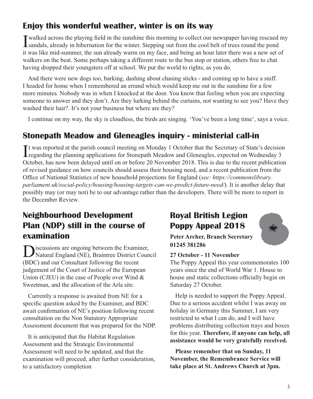## **Enjoy this wonderful weather, winter is on its way**

I walked across the playing field in the sunshine this morning to collect our newspaper having rescued my sandals, already in hibernation for the winter. Stepping out from the cool belt of trees round the pond it was like mid-summer, the sun already warm on my face, and being an hour later there was a new set of walkers on the beat. Some perhaps taking a different route to the bus stop or station, others free to chat having dropped their youngsters off at school. We put the world to rights, as you do.

And there were new dogs too, barking, dashing about chasing sticks - and coming up to have a sniff. I headed for home when I remembered an errand which would keep me out in the sunshine for a few more minutes. Nobody was in when I knocked at the door. You know that feeling when you are expecting someone to answer and they don't. Are they lurking behind the curtains, not wanting to see you? Have they washed their hair?. It's not your business but where are they?

I continue on my way, the sky is cloudless, the birds are singing. 'You've been a long time', says a voice.

## **Stonepath Meadow and Gleneagles inquiry - ministerial call-in**

It was reported at the parish council meeting on Monday 1 October that the Secretary of State's decision<br>regarding the planning applications for Stonepath Meadow and Gleneagles, expected on Wednesday 3 **Tregarding the planning applications for Stonepath Meadow and Gleneagles, expected on Wednesday 3** October, has now been delayed until on or before 20 November 2018. This is due to the recent publication of revised guidance on how councils should assess their housing need, and a recent publication from the Office of National Statistics of new household projections for England (*see: https://commonslibrary. parliament.uk/social-policy/housing/housing-targets-can-we-predict-future-need/*). It is another delay that possibly may (or may not) be to our advantage rather than the developers. There will be more to report in the December Review.

## **Neighbourhood Development Plan (NDP) still in the course of examination**

sicussions are ongoing between the Examiner, Natural England (NE), Braintree District Council (BDC) and our Consultant following the recent judgement of the Court of Justice of the European Union (CJEU) in the case of People over Wind & Sweetman, and the allocation of the Arla site.

Currently a response is awaited from NE for a specific question asked by the Examiner, and BDC await confirmation of NE's position following recent consultation on the Non Statutory Appropriate Assessment document that was prepared for the NDP.

It is anticipated that the Habitat Regulation Assessment and the Strategic Environmental Assessment will need to be updated, and that the examination will proceed, after further consideration, to a satisfactory completion

## **Royal British Legion Poppy Appeal 2018**



**Peter Archer, Branch Secretary 01245 381286**

#### **27 October - 11 November**

The Poppy Appeal this year commemorates 100 years since the end of World War 1. House to house and static collections officially begin on Saturday 27 October.

Help is needed to support the Poppy Appeal. Due to a serious accident whilst I was away on holiday in Germany this Summer, I am very restricted to what I can do, and I will have problems distributing collection trays and boxes for this year. **Therefore, if anyone can help, all assistance would be very gratefully received.**

**Please remember that on Sunday, 11 November, the Remembrance Service will take place at St. Andrews Church at 3pm.**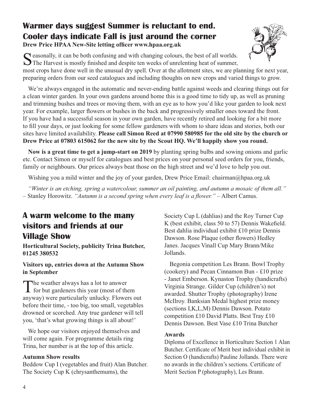## **Warmer days suggest Summer is reluctant to end. Cooler days indicate Fall is just around the corner**

**Drew Price HPAA New-Site letting officer www.hpaa.org.uk**



 $\bigcap$  easonally, it can be both confusing and with changing colours, the best of all worlds. The Harvest is mostly finished and despite ten weeks of unrelenting heat of summer,

most crops have done well in the unusual dry spell. Over at the allotment sites, we are planning for next year, preparing orders from our seed catalogues and including thoughts on new crops and varied things to grow.

We're always engaged in the automatic and never-ending battle against weeds and clearing things out for a clean winter garden. In your own gardens around home this is a good time to tidy up, as well as pruning and trimming bushes and trees or moving them, with an eye as to how you'd like your garden to look next year. For example, larger flowers or bushes in the back and progressively smaller ones toward the front. If you have had a successful season in your own garden, have recently retired and looking for a bit more to fill your days, or just looking for some fellow gardeners with whom to share ideas and stories, both our sites have limited availability. **Please call Simon Reed at 07990 580985 for the old site by the church or Drew Price at 07803 615062 for the new site by the Scout HQ. We'll happily show you round.**

**Now is a great time to get a jump-start on 2019** by planting spring bulbs and sowing onions and garlic etc. Contact Simon or myself for catalogues and best prices on your personal seed orders for you, friends, family or neighbours. Our prices always beat those on the high street and we'd love to help you out.

Wishing you a mild winter and the joy of your garden, Drew Price Email: chairman@hpaa.org.uk

*"Winter is an etching, spring a watercolour, summer an oil painting, and autumn a mosaic of them all."* – Stanley Horowitz. *"Autumn is a second spring when every leaf is a flower."* – Albert Camus.

## **A warm welcome to the many visitors and friends at our Village Show**

**Horticultural Society, publicity Trina Butcher, 01245 380532**

#### **Visitors up, entries down at the Autumn Show in September**

The weather always has a lot to answer<br>for but gardeners this year (most of them anyway) were particularly unlucky. Flowers out before their time, - too big, too small, vegetables drowned or scorched. Any true gardener will tell you, 'that's what growing things is all about!'

We hope our visitors enjoyed themselves and will come again. For programme details ring Trina, her number is at the top of this article.

#### **Autumn Show results**

Beddow Cup I (vegetables and fruit) Alan Butcher. The Society Cup K (chrysanthemums), the

Society Cup L (dahlias) and the Roy Turner Cup K (best exhibit, class 50 to 57) Dennis Wakefield. Best dahlia individual exhibit £10 prize Dennis Dawson. Rose Plaque (other flowers) Hedley Janes. Jacques Vinall Cup Mary Brann/Mike Jollands.

Begonia competition Les Brann. Bowl Trophy (cookery) and Pecan Cinnamon Bun - £10 prize - Janet Emberson. Kynaston Trophy (handicrafts) Virginia Strange. Gilder Cup (children's) not awarded. Shutter Trophy (photography) Irene McIlroy. Banksian Medal highest prize money (sections I,K,L,M) Dennis Dawson. Potato competition £10 David Platts. Best Tray £10 Dennis Dawson. Best Vase £10 Trina Butcher

#### **Awards**

Diploma of Excellence in Horticulture Section 1 Alan Butcher. Certificate of Merit best individual exhibit in Section O (handicrafts) Pauline Jollands. There were no awards in the children's sections. Certificate of Merit Section P (photography), Les Brann.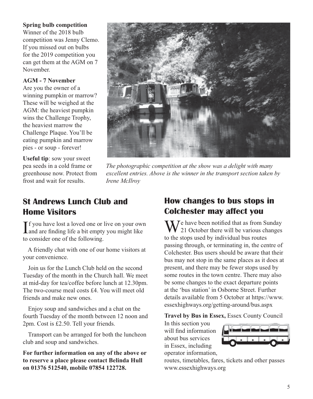#### **Spring bulb competition**

Winner of the 2018 bulb competition was Jenny Clemo. If you missed out on bulbs for the 2019 competition you can get them at the AGM on 7 November.

#### **AGM - 7 November**

Are you the owner of a winning pumpkin or marrow? These will be weighed at the AGM: the heaviest pumpkin wins the Challenge Trophy, the heaviest marrow the Challenge Plaque. You'll be eating pumpkin and marrow pies - or soup - forever!

**Useful tip**: sow your sweet pea seeds in a cold frame or greenhouse now. Protect from frost and wait for results.



*The photographic competition at the show was a delight with many excellent entries. Above is the winner in the transport section taken by Irene McIlroy*

## **St Andrews Lunch Club and Home Visitors**

If you have lost a loved one or live on your own<br>and are finding life a bit empty you might like **T** f you have lost a loved one or live on your own to consider one of the following.

 A friendly chat with one of our home visitors at your convenience.

 Join us for the Lunch Club held on the second Tuesday of the month in the Church hall. We meet at mid-day for tea/coffee before lunch at 12.30pm. The two-course meal costs £4. You will meet old friends and make new ones.

 Enjoy soup and sandwiches and a chat on the fourth Tuesday of the month between 12 noon and 2pm. Cost is £2.50. Tell your friends.

Transport can be arranged for both the luncheon club and soup and sandwiches.

**For further information on any of the above or to reserve a place please contact Belinda Hull on 01376 512540, mobile 07854 122728.**

## **How changes to bus stops in Colchester may affect you**

 $\sum$   $\sum$   $\sum$  have been notified that as from Sunday  $\bf{V}$  21 October there will be various changes to the stops used by individual bus routes passing through, or terminating in, the centre of Colchester. Bus users should be aware that their bus may not stop in the same places as it does at present, and there may be fewer stops used by some routes in the town centre. There may also be some changes to the exact departure points at the 'bus station' in Osborne Street. Further details available from 5 October at https://www. essexhighways.org/getting-around/bus.aspx

#### **Travel by Bus in Essex,** Essex County Council

In this section you will find information about bus services in Essex, including operator information,



routes, timetables, fares, tickets and other passes www.essexhighways.org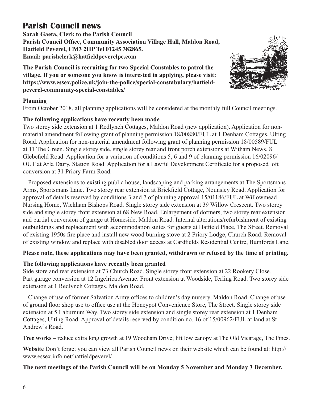## **Parish Council news**

**Sarah Gaeta, Clerk to the Parish Council Parish Council Office, Community Association Village Hall, Maldon Road, Hatfield Peverel, CM3 2HP Tel 01245 382865. Email: parishclerk@hatfieldpeverelpc.com**

**The Parish Council is recruiting for two Special Constables to patrol the village. If you or someone you know is interested in applying, please visit: https://www.essex.police.uk/join-the-police/special-constabulary/hatfieldpeverel-community-special-constables/** 



From October 2018, all planning applications will be considered at the monthly full Council meetings.

#### **The following applications have recently been made**

Two storey side extension at 1 Redlynch Cottages, Maldon Road (new application). Application for nonmaterial amendment following grant of planning permission 18/00880/FUL at 1 Denham Cottages, Ulting Road. Application for non-material amendment following grant of planning permission 18/00589/FUL at 11 The Green. Single storey side, single storey rear and front porch extensions at Witham News, 8 Glebefield Road. Application for a variation of conditions 5, 6 and 9 of planning permission 16/02096/ OUT at Arla Dairy, Station Road. Application for a Lawful Development Certificate for a proposed loft conversion at 31 Priory Farm Road.

Proposed extensions to existing public house, landscaping and parking arrangements at The Sportsmans Arms, Sportsmans Lane. Two storey rear extension at Brickfield Cottage, Nounsley Road. Application for approval of details reserved by conditions 3 and 7 of planning approval 15/01186/FUL at Willowmead Nursing Home, Wickham Bishops Road. Single storey side extension at 39 Willow Crescent. Two storey side and single storey front extension at 68 New Road. Enlargement of dormers, two storey rear extension and partial conversion of garage at Homeside, Maldon Road. Internal alterations/refurbishment of existing outbuildings and replacement with accommodation suites for guests at Hatfield Place, The Street. Removal of existing 1950s fire place and install new wood burning stove at 2 Priory Lodge, Church Road. Removal of existing window and replace with disabled door access at Cardfields Residential Centre, Bumfords Lane.

#### **Please note, these applications may have been granted, withdrawn or refused by the time of printing.**

#### **The following applications have recently been granted**

Side store and rear extension at 73 Church Road. Single storey front extension at 22 Rookery Close. Part garage conversion at 12 Ingelrica Avenue. Front extension at Woodside, Terling Road. Two storey side extension at 1 Redlynch Cottages, Maldon Road.

Change of use of former Salvation Army offices to children's day nursery, Maldon Road. Change of use of ground floor shop use to office use at the Honeypot Convenience Store, The Street. Single storey side extension at 5 Laburnum Way. Two storey side extension and single storey rear extension at 1 Denham Cottages, Ulting Road. Approval of details reserved by condition no. 16 of 15/00962/FUL at land at St Andrew's Road.

**Tree works** – reduce extra long growth at 19 Woodham Drive; lift low canopy at The Old Vicarage, The Pines.

**Website** Don't forget you can view all Parish Council news on their website which can be found at: http:// www.essex.info.net/hatfieldpeverel/

#### **The next meetings of the Parish Council will be on Monday 5 November and Monday 3 December.**

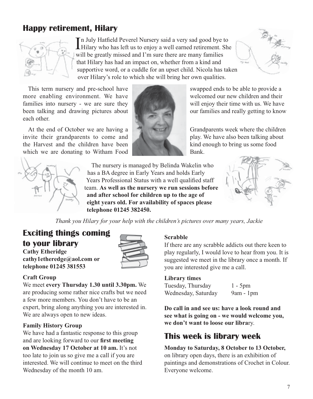## **Happy retirement, Hilary**



In July Hatfield Peverel Nursery said a very sad good bye to<br>Hilary who has left us to enjoy a well earned retirement. She Hilary who has left us to enjoy a well earned retirement. She will be greatly missed and I'm sure there are many families that Hilary has had an impact on, whether from a kind and supportive word, or a cuddle for an upset child. Nicola has taken over Hilary's role to which she will bring her own qualities.

This term nursery and pre-school have swapped ends to be able to provide a more enabling environment. We have welcomed our new children and their families into nursery - we are sure they will enjoy their time with us. We have been talking and drawing pictures about **the contract of the contract our families and really getting to know** each other.

At the end of October we are having a Grandparents week where the children invite their grandparents to come and play. We have also been talking about the Harvest and the children have been kind enough to bring us some food which we are donating to Witham Food Bank.





The nursery is managed by Belinda Wakelin who has a BA degree in Early Years and holds Early Years Professional Status with a well qualified staff team. **As well as the nursery we run sessions before and after school for children up to the age of eight years old. For availability of spaces please telephone 01245 382450.**



*Thank you Hilary for your help with the children's pictures over many years, Jackie*

## **Exciting things coming to your library**

**Cathy Etheridge cathy1etheredge@aol.com or telephone 01245 381553**



#### **Craft Group**

We meet **every Thursday 1.30 until 3.30pm.** We are producing some rather nice crafts but we need a few more members. You don't have to be an expert, bring along anything you are interested in. We are always open to new ideas.

#### **Family History Group**

We have had a fantastic response to this group and are looking forward to our **first meeting on Wednesday 17 October at 10 am.** It's not too late to join us so give me a call if you are interested. We will continue to meet on the third Wednesday of the month 10 am.

#### **Scrabble**

If there are any scrabble addicts out there keen to play regularly, I would love to hear from you. It is suggested we meet in the library once a month. If you are interested give me a call.

#### **Library times**

Tuesday, Thursday 1 - 5pm Wednesday, Saturday 9am - 1pm

**Do call in and see us: have a look round and see what is going on - we would welcome you, we don't want to loose our libra**ry.

## **This week is library week**

**Monday to Saturday, 8 October to 13 October,** on library open days, there is an exhibition of paintings and demonstrations of Crochet in Colour. Everyone welcome.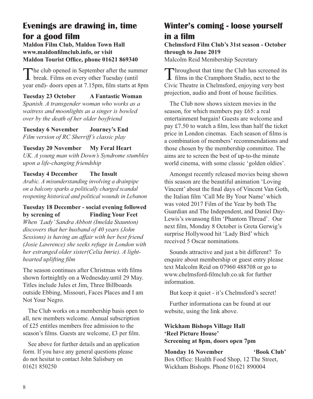## **Evenings are drawing in, time for a good film**

**Maldon Film Club, Maldon Town Hall www.maldonfilmclub.info, or visit Maldon Tourist Office, phone 01621 869340**

The club opened in September after the summer **L** break. Films on every other Tuesday (until year end)- doors open at 7.15pm, film starts at 8pm

**Tuesday 23 October A Fantastic Woman** *Spanish. A transgender woman who works as a waitress and moonlights as a singer is bowled over by the death of her older boyfriend*

**Tuesday 6 November Journey's End** *Film version of RC Sherriff's classic play*

#### **Tuesday 20 November My Feral Heart**

*UK. A young man with Down's Syndrome stumbles upon a life-changing friendship*

#### **Tuesday 4 December The Insult**

*Arabic. A misunderstanding involving a drainpipe on a balcony sparks a politically charged scandal reopening historical and political wounds in Lebanon*

#### **Tuesday 18 December - social evening followed by screning of Finding Your Feet**

*When 'Lady' Sandra Abbott (Imelda Staunton) discovers that her husband of 40 years (John Sessions) is having an affair with her best friend (Josie Lawrence) she seeks refuge in London with her estranged older sister(Celia Imrie). A lighthearted uplifting film*

The season continues after Christmas with films shown fortnightly on a Wednesday.until 29 May. Titles include Jules et Jim, Three Billboards outside Ebbing, Missouri, Faces Places and I am Not Your Negro.

The Club works on a membership basis open to all, new members welcome. Annual subscription of £25 entitles members free admission to the season's films. Guests are welcome, £3 per film.

See above for further details and an application form. If you have any general questions please do not hesitat to contact John Salisbury on 01621 850250

## **Winter's coming - loose yourself in a film**

**Chelmsford Film Club's 31st season - October through to June 2019**

Malcolm Reid Membership Secretary

Throughout that time the Club has screened its<br>films in the Cramphorn Studio, next to the Civic Theatre in Chelmsford, enjoying very best projection, audio and front of house facilities.

The Club now shows sixteen movies in the season, for which members pay £65: a real entertainment bargain! Guests are welcome and pay £7.50 to watch a film, less than half the ticket price in London cinemas. Each season of films is a combination of members' recommendations and those chosen by the membership committee. The aims are to screen the best of up-to-the minute world cinema, with some classic 'golden oldies'.

Amongst recently released movies being shown this season are the beautiful animation 'Loving Vincent' about the final days of Vincent Van Goth, the Italian film 'Call Me By Your Name' which was voted 2017 Film of the Year by both The Guardian and The Independent, and Daniel Day-Lewis's swansong film 'Phantom Thread'. Our next film, Monday 8 October is Greta Gerwig's surprise Hollywood hit 'Lady Bird' which received 5 Oscar nominations.

Sounds attractive and just a bit different? To enquire about membership or guest entry please text Malcolm Reid on 07960 488708 or go to www.chelmsford-filmclub.co.uk for further information.

But keep it quiet - it's Chelmsford's secret!

Further informationa can be found at our website, using the link above.

#### **Wickham Bishops Village Hall 'Reel Picture House' Screening at 8pm, doors open 7pm**

**Monday 16 November 'Book Club'** Box Office: Health Food Shop, 12 The Street, Wickham Bishops. Phone 01621 890004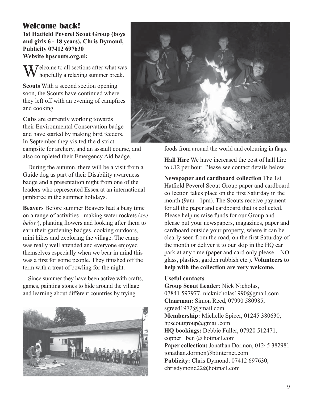## **Welcome back!**

**1st Hatfield Peverel Scout Group (boys and girls 6 - 18 years). Chris Dymond, Publicity 07412 697630 Website hpscouts.org.uk**

 $\sqrt{\ }$   $\sqrt{\ }$   $\sqrt{\ }$   $\sqrt{\ }$   $\sqrt{\ }$   $\sqrt{\ }$   $\sqrt{\ }$   $\sqrt{\ }$   $\sqrt{\ }$   $\sqrt{\ }$   $\sqrt{\ }$   $\sqrt{\ }$   $\sqrt{\ }$   $\sqrt{\ }$   $\sqrt{\ }$   $\sqrt{\ }$   $\sqrt{\ }$   $\sqrt{\ }$   $\sqrt{\ }$   $\sqrt{\ }$   $\sqrt{\ }$   $\sqrt{\ }$   $\sqrt{\ }$   $\sqrt{\ }$   $\sqrt{\ }$   $\sqrt{\ }$   $\sqrt{\ }$   $\sqrt{\ }$   $\sqrt{\ }$   $\sqrt{\ }$   $\sqrt{\ }$   $\sqrt{\$ hopefully a relaxing summer break.

**Scouts** With a second section opening soon, the Scouts have continued where they left off with an evening of campfires and cooking.

**Cubs** are currently working towards their Environmental Conservation badge and have started by making bird feeders. In September they visited the district

campsite for archery, and an assault course, and also completed their Emergency Aid badge.

During the autumn, there will be a visit from a Guide dog as part of their Disability awareness badge and a presentation night from one of the leaders who represented Essex at an international jamboree in the summer holidays.

**Beavers** Before summer Beavers had a busy time on a range of activities - making water rockets (*see below*), planting flowers and looking after them to earn their gardening badges, cooking outdoors, mini hikes and exploring the village. The camp was really well attended and everyone enjoyed themselves especially when we bear in mind this was a first for some people. They finished off the term with a treat of bowling for the night.

Since summer they have been active with crafts, games, painting stones to hide around the village and learning about different countries by trying





foods from around the world and colouring in flags.

**Hall Hire** We have increased the cost of hall hire to £12 per hour. Please see contact details below.

**Newspaper and cardboard collection** The 1st Hatfield Peverel Scout Group paper and cardboard collection takes place on the first Saturday in the month (9am - 1pm). The Scouts receive payment for all the paper and cardboard that is collected. Please help us raise funds for our Group and please put your newspapers, magazines, paper and cardboard outside your property, where it can be clearly seen from the road, on the first Saturday of the month or deliver it to our skip in the HQ car park at any time (paper and card only please – NO glass, plastics, garden rubbish etc.). **Volunteers to help with the collection are very welcome.** 

#### **Useful contacts**

**Group Scout Leader**: Nick Nicholas, 07841 597977, nicknicholas1990@gmail.com **Chairman:** Simon Reed, 07990 580985, sgreed1972@gmail.com **Membership:** Michelle Spicer, 01245 380630, hpscoutgroup@gmail.com **HQ bookings:** Debbie Fuller, 07920 512471, copper ben  $\omega$  hotmail.com **Paper collection:** Jonathan Dormon, 01245 382981 jonathan.dormon@btinternet.com **Publicity:** Chris Dymond, 07412 697630, chrisdymond22@hotmail.com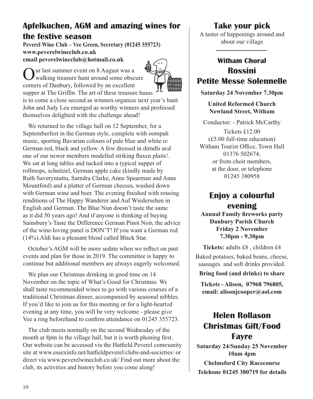## **Apfelkuchen, AGM and amazing wines for the festive season**

**Peverel Wine Club – Vee Green, Secretary (01245 355723) www.peverelwineclub.co.uk email peverelwineclub@hotmail.co.uk**

ur last summer event on 8 August was a

walking treasure hunt around some obscure

corners of Danbury, followed by an excellent supper at The Griffin. The art of these treasure hunts is to come a close second as winners organize next year's hunt. John and Judy Lea emerged as worthy winners and professed themselves delighted with the challenge ahead!

We returned to the village hall on 12 September, for a Septemberfest in the German style, complete with oompah music, sporting Bavarian colours of pale blue and white or German red, black and yellow. A few dressed in dirndls and one of our newer members modelled striking flaxen plaits!. We sat at long tables and tucked into a typical supper of rollmops, schnitzel, German apple cake (kindly made by Ruth Saverymuttu, Sarndra Clarke, Anne Spearman and Anne Mountford) and a platter of German cheeses, washed down with German wine and beer. The evening finished with rousing renditions of The Happy Wanderer and Auf Wiedersehen in English and German. The Blue Nun doesn't taste the same as it did 50 years ago! And if anyone is thinking of buying Sainsbury's Taste the Difference German Pinot Noir, the advice of the wine-loving panel is DON'T! If you want a German red (14%).Aldi has a pleasant blend called Black Star.

October's AGM will be more sedate when we reflect on past events and plan for those in 2019. The committee is happy to continue but additional members are always eagerly welcomed.

We plan our Christmas drinking in good time on 14 November on the topic of What's Good for Christmas. We shall taste recommended wines to go with various courses of a traditional Christmas dinner, accompanied by seasonal nibbles. If you'd like to join us for this meeting or for a light-hearted evening at any time, you will be very welcome - please give Vee a ring beforehand to confirm attendance on 01245 355723.

The club meets normally on the second Wednesday of the month at 8pm in the village hall, but it is worth phoning first. Our website can be accessed via the Hatfield Peverel community site at www.essexinfo.net/hatfieldpeverel/clubs-and-societies/ or direct via www.peverelwineclub.co.uk/ Find out more about the club, its activities and history before you come along!

## **Take your pick**

A taster of happenings around and about our village

## **Witham Choral Rossini Petite Messe Solennelle**

**Saturday 24 November 7.30pm**

**United Reformed Church Newland Street, Witham**

Conductor: - Patrick McCarthy Tickets £12.00 (£5.00 full-time education) Witham Tourist Office, Town Hall 01376 502674, or from choir members, at the door, or telephone 01245 380958

## **Enjoy a colourful evening**

**Annual Family fireworks party Danbury Parish Church Friday 2 November 7.30pm - 9.30pm**

**Tickets:** adults £8 , children £4 Baked potatoes, baked beans, cheese, sausages and soft drinks provided.

**Bring food (and drinks) to share**

**Tickets - Alison, 07968 796805, email: alisonjcooper@aol.com**

## **Helen Rollason Christmas Gift/Food Fayre**

**Saturday 24/Sunday 25 November 10am 4pm Chelmsford City Racecourse Telehone 01245 380719 for details**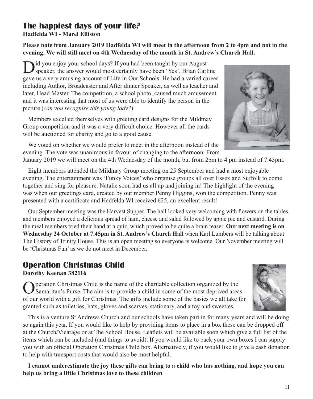## **The happiest days of your life?**

**Hadfelda WI - Marel Elliston**

**Please note from January 2019 Hadfelda WI will meet in the afternoon from 2 to 4pm and not in the evening. We will still meet on 4th Wednesday of the month in St. Andrew's Church Hall.**

id you enjoy your school days? If you had been taught by our August speaker, the answer would most certainly have been 'Yes'. Brian Carline gave us a very amusing account of Life in Our Schools. He had a varied career including Author, Broadcaster and After dinner Speaker, as well as teacher and later, Head Master. The competition, a school photo, caused much amusement and it was interesting that most of us were able to identify the person in the picture (*can you recognise this young lady?*)

Members excelled themselves with greeting card designs for the Mildmay Group competition and it was a very difficult choice. However all the cards will be auctioned for charity and go to a good cause.

We voted on whether we would prefer to meet in the afternoon instead of the evening. The vote was unanimous in favour of changing to the afternoon. From

January 2019 we will meet on the 4th Wednesday of the month, but from 2pm to 4 pm instead of 7.45pm.

Eight members attended the Mildmay Group meeting on 25 September and had a most enjoyable evening. The entertainment was 'Funky Voices' who organise groups all over Essex and Suffolk to come together and sing for pleasure. Natalie soon had us all up and joining in! The highlight of the evening was when our greetings card, created by our member Penny Higgins, won the competition. Penny was presented with a certificate and Hadfelda WI received £25, an excellent result!

Our September meeting was the Harvest Supper. The hall looked very welcoming with flowers on the tables, and members enjoyed a delicious spread of ham, cheese and salad followed by apple pie and custard. During the meal members tried their hand at a quiz, which proved to be quite a brain teaser. **Our next meeting is on Wednesday 24 October at 7.45pm in St. Andrew's Church Hall** when Karl Lumbers will be talking about The History of Trinity House. This is an open meeting so everyone is welcome. Our November meeting will be 'Christmas Fun' as we do not meet in December.

#### **Operation Christmas Child Dorothy Keenan 382116**

peration Christmas Child is the name of the charitable collection organized by the Samaritan's Purse. The aim is to provide a child in some of the most deprived areas of our world with a gift for Christmas. The gifts include some of the basics we all take for granted such as toiletries, hats, gloves and scarves, stationary, and a toy and sweeties.

This is a venture St Andrews Church and our schools have taken part in for many years and will be doing so again this year. If you would like to help by providing items to place in a box these can be dropped off at the Church/Vicarage or at The School House. Leaflets will be available soon which give a full list of the items which can be included (and things to avoid). If you would like to pack your own boxes I can supply you with an official Operation Christmas Child box. Alternatively, if you would like to give a cash donation to help with transport costs that would also be most helpful.

**I cannot underestimate the joy these gifts can bring to a child who has nothing, and hope you can help us bring a little Christmas love to these children**





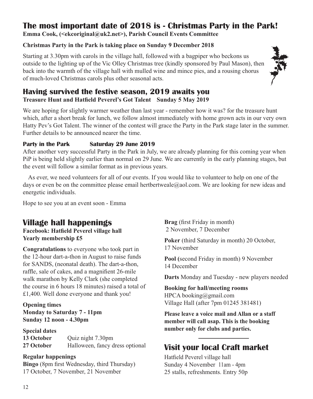## **The most important date of 2018 is - Christmas Party in the Park!**

**Emma Cook, (<ekcoriginal@uk2.net>), Parish Council Events Committee**

## **Christmas Party in the Park is taking place on Sunday 9 December 2018**

Starting at 3.30pm with carols in the village hall, followed with a bagpiper who beckons us outside to the lighting up of the Vic Olley Christmas tree (kindly sponsored by Paul Mason), then back into the warmth of the village hall with mulled wine and mince pies, and a rousing chorus of much-loved Christmas carols plus other seasonal acts.



## **Having survived the festive season, 2019 awaits you Treasure Hunt and Hatfield Peverel's Got Talent Sunday 5 May 2019**

We are hoping for slightly warmer weather than last year - remember how it was? for the treasure hunt which, after a short break for lunch, we follow almost immediately with home grown acts in our very own Hatty Pev's Got Talent. The winner of the contest will grace the Party in the Park stage later in the summer. Further details to be announced nearer the time.

#### **Party in the Park Saturday 29 June 2019**

After another very successful Party in the Park in July, we are already planning for this coming year when PiP is being held slightly earlier than normal on 29 June. We are currently in the early planning stages, but the event will follow a similar format as in previous years.

As ever, we need volunteers for all of our events. If you would like to volunteer to help on one of the days or even be on the committee please email hertbertweale@aol.com. We are looking for new ideas and energetic individuals.

Hope to see you at an event soon - Emma

## **Village hall happenings**

**Facebook: Hatfield Peverel village hall Yearly membership £5**

**Congratulations** to everyone who took part in the 12-hour dart-a-thon in August to raise funds for SANDS, (neonatal death). The dart-a-thon, raffle, sale of cakes, and a magnifient 26-mile walk marathon by Kelly Clark (she completed the course in 6 hours 18 minutes) raised a total of £1,400. Well done everyone and thank you!

**Opening times Monday to Saturday 7 - 11pm Sunday 12 noon - 4.30pm**

**Special dates 13 October** Quiz night 7.30pm **27 October** Halloween, fancy dress optional

#### **Regular happenings**

**Bingo** (8pm first Wednesday, third Thursday) 17 October, 7 November, 21 November

**Brag** (first Friday in month) 2 November, 7 December

**Poker** (third Saturday in month) 20 October, 17 November

**Pool (**second Friday in month) 9 November 14 December

**Darts** Monday and Tuesday - new players needed

**Booking for hall/meeting rooms** HPCA booking@gmail.com Village Hall (after 7pm 01245 381481)

**Please leave a voice mail and Allan or a staff member will call asap. This is the booking number only for clubs and parties.**

## **Visit your local Craft market**

Hatfield Peverel village hall Sunday 4 November 11am - 4pm 25 stalls, refreshments. Entry 50p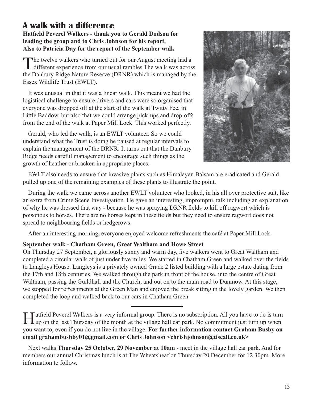#### **A walk with a difference Hatfield Peverel Walkers - thank you to Gerald Dodson for leading the group and to Chris Johnson for his report.**

**Also to Patricia Day for the report of the September walk**

The twelve walkers who turned out for our August meeting had a **d** different experience from our usual rambles The walk was across the Danbury Ridge Nature Reserve (DRNR) which is managed by the Essex Wildlife Trust (EWLT).

It was unusual in that it was a linear walk. This meant we had the logistical challenge to ensure drivers and cars were so organised that everyone was dropped off at the start of the walk at Twitty Fee, in Little Baddow, but also that we could arrange pick-ups and drop-offs from the end of the walk at Paper Mill Lock. This worked perfectly.

Gerald, who led the walk, is an EWLT volunteer. So we could understand what the Trust is doing he paused at regular intervals to explain the management of the DRNR. It turns out that the Danbury Ridge needs careful management to encourage such things as the growth of heather or bracken in appropriate places.



EWLT also needs to ensure that invasive plants such as Himalayan Balsam are eradicated and Gerald pulled up one of the remaining examples of these plants to illustrate the point.

During the walk we came across another EWLT volunteer who looked, in his all over protective suit, like an extra from Crime Scene Investigation. He gave an interesting, impromptu, talk including an explanation of why he was dressed that way - because he was spraying DRNR fields to kill off ragwort which is poisonous to horses. There are no horses kept in these fields but they need to ensure ragwort does not spread to neighbouring fields or hedgerows.

After an interesting morning, everyone enjoyed welcome refreshments the café at Paper Mill Lock.

#### **September walk - Chatham Green, Great Waltham and Howe Street**

On Thursday 27 September, a gloriously sunny and warm day, five walkers went to Great Waltham and completed a circular walk of just under five miles. We started in Chatham Green and walked over the fields to Langleys House. Langleys is a privately owned Grade 2 listed building with a large estate dating from the 17th and 18th centuries. We walked through the park in front of the house, into the centre of Great Waltham, passing the Guildhall and the Church, and out on to the main road to Dunmow. At this stage, we stopped for refreshments at the Green Man and enjoyed the break sitting in the lovely garden. We then completed the loop and walked back to our cars in Chatham Green.

Hatfield Peverel Walkers is a very informal group. There is no subscription. All you have to do is turn up when  $\mu$ up on the last Thursday of the month at the village hall car park. No commitment just turn up when you want to, even if you do not live in the village. **For further information contact Graham Busby on email grahambushby01@gmail.com or Chris Johnson <chrishjohnson@tiscali.co.uk>**

Next walks **Thursday 25 October, 29 November at 10am** - meet in the village hall car park. And for members our annual Christmas lunch is at The Wheatsheaf on Thursday 20 December for 12.30pm. More information to follow.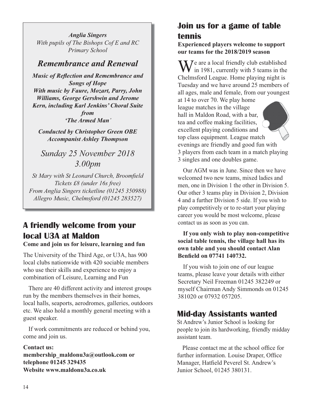*Anglia Singers With pupils of The Bishops Cof E and RC Primary School*

## *Remembrance and Renewal*

*Music of Reflection and Remembrance and Songs of Hope With music by Faure, Mozart, Parry, John Williams, George Gershwin and Jerome Kern, including Karl Jenkins' Choral Suite from 'The Armed Man'*

*Conducted by Christopher Green OBE Accompanist Ashley Thompson*

*Sunday 25 November 2018 3.00pm*

*St Mary with St Leonard Church, Broomfield Tickets £8 (under 16s free) From Anglia Singers ticketline (01245 350988) Allegro Music, Chelmsford (01245 283527)*

## **A friendly welcome from your local U3A at Maldon**

**Come and join us for leisure, learning and fun**

The University of the Third Age, or U3A, has 900 local clubs nationwide with 420 sociable members who use their skills and experience to enjoy a combination of Leisure, Learning and Fun

There are 40 different activity and interest groups run by the members themselves in their homes, local halls, seaports, aerodromes, galleries, outdoors etc. We also hold a monthly general meeting with a guest speaker.

If work commitments are reduced or behind you, come and join us.

#### **Contact us:**

**membership\_maldonu3a@outlook.com or telephone 01245 329435 Website www.maldonu3a.co.uk**

## **Join us for a game of table tennis**

**Experienced players welcome to support our teams for the 2018/2019 season**

 $\sum$   $\sum$   $\sum$  are a local friendly club established  $\mathbf{V}$  in 1981, currently with 5 teams in the Chelmsford League. Home playing night is Tuesday and we have around 25 members of all ages, male and female, from our youngest at 14 to over 70. We play home league matches in the village hall in Maldon Road, with a bar, tea and coffee making facilities, excellent playing conditions and top class equipment. League match evenings are friendly and good fun with 3 players from each team in a match playing 3 singles and one doubles game.

Our AGM was in June. Since then we have welcomed two new teams, mixed ladies and men, one in Division 1 the other in Division 5. Our other 3 teams play in Division 2, Division 4 and a further Division 5 side. If you wish to play competitively or to re-start your playing career you would be most welcome, please contact us as soon as you can.

**If you only wish to play non-competitive social table tennis, the village hall has its own table and you should contact Alan Benfield on 07741 140732.**

If you wish to join one of our league teams, please leave your details with either Secretary Neil Freeman 01245 382249 or myself Chairman Andy Simmonds on 01245 381020 or 07932 057205.

## **Mid-day Assistants wanted**

St Andrew's Junior School is looking for people to join its hardworking, friendly midday assistant team.

Please contact me at the school office for further information. Louise Draper, Office Manager, Hatfield Peverel St. Andrew's Junior School, 01245 380131.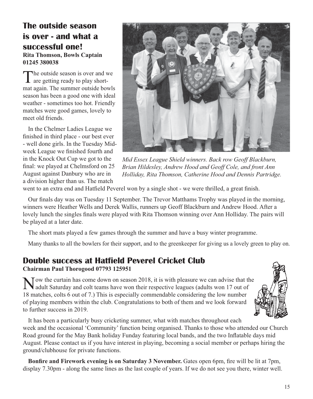## **The outside season is over - and what a successful one! Rita Thomson, Bowls Captain 01245 380038**

The outside season is over and we are getting ready to play shortmat again. The summer outside bowls season has been a good one with ideal weather - sometimes too hot. Friendly matches were good games, lovely to meet old friends.

In the Chelmer Ladies League we finished in third place - our best ever - well done girls. In the Tuesday Midweek League we finished fourth and in the Knock Out Cup we got to the final: we played at Chelmsford on 25 August against Danbury who are in a division higher than us. The match



*Mid Essex League Shield winners. Back row Geoff Blackburn, Brian Hildesley, Andrew Hood and Geoff Cole, and front Ann Holliday, Rita Thomson, Catherine Hood and Dennis Partridge.*

went to an extra end and Hatfield Peverel won by a single shot - we were thrilled, a great finish.

Our finals day was on Tuesday 11 September. The Trevor Matthams Trophy was played in the morning, winners were Heather Wells and Derek Wallis, runners up Geoff Blackburn and Andrew Hood. After a lovely lunch the singles finals were played with Rita Thomson winning over Ann Holliday. The pairs will be played at a later date.

The short mats played a few games through the summer and have a busy winter programme.

Many thanks to all the bowlers for their support, and to the greenkeeper for giving us a lovely green to play on.

## **Double success at Hatfield Peverel Cricket Club Chairman Paul Thorogood 07793 125951**

 $\sqrt{\ }$  Tow the curtain has come down on season 2018, it is with pleasure we can advise that the **A** adult Saturday and colt teams have won their respective leagues (adults won 17 out of 18 matches, colts 6 out of 7.) This is especially commendable considering the low number of playing members within the club. Congratulations to both of them and we look forward to further success in 2019.



It has been a particularly busy cricketing summer, what with matches throughout each week and the occasional 'Community' function being organised. Thanks to those who attended our Church Road ground for the May Bank holiday Funday featuring local bands, and the two Inflatable days mid August. Please contact us if you have interest in playing, becoming a social member or perhaps hiring the ground/clubhouse for private functions.

**Bonfire and Firework evening is on Saturday 3 November.** Gates open 6pm, fire will be lit at 7pm, display 7.30pm - along the same lines as the last couple of years. If we do not see you there, winter well.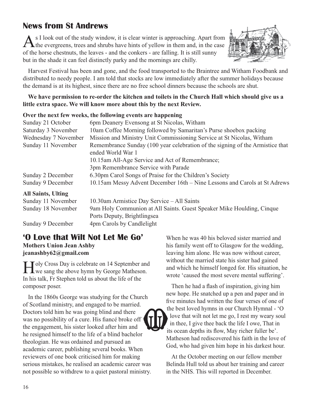## **News from St Andrews**

As I look out of the study window, it is clear winter is approaching. Apart from the evergreens, trees and shrubs have hints of yellow in them and, in the case of the horse chestnuts, the leaves - and the conkers - are falling. It is still sunny but in the shade it can feel distinctly parky and the mornings are chilly.



Harvest Festival has been and gone, and the food transported to the Braintree and Witham Foodbank and distributed to needy people. I am told that stocks are low immediately after the summer holidays because the demand is at its highest, since there are no free school dinners because the schools are shut.

#### **We have permission to re-order the kitchen and toilets in the Church Hall which should give us a little extra space. We will know more about this by the next Review.**

#### **Over the next few weeks, the following events are happening**

| 6pm Deanery Evensong at St Nicolas, Witham                                    |
|-------------------------------------------------------------------------------|
| 10am Coffee Morning followed by Samaritan's Purse shoebox packing             |
| Mission and Ministry Unit Commissioning Service at St Nicolas, Witham         |
| Remembrance Sunday (100 year celebration of the signing of the Armistice that |
| ended World War 1                                                             |
| 10.15am All-Age Service and Act of Remembrance;                               |
| 3pm Remembrance Service with Parade                                           |
| 6.30pm Carol Songs of Praise for the Children's Society                       |
| 10.15am Messy Advent December 16th - Nine Lessons and Carols at St Adrews     |
|                                                                               |

#### **All Saints, Ulting**

| Sunday 11 November | 10.30am Armistice Day Service – All Saints                            |
|--------------------|-----------------------------------------------------------------------|
| Sunday 18 November | 9am Holy Communion at All Saints. Guest Speaker Mike Houlding, Cinque |
|                    | Ports Deputy, Brightlingsea                                           |

Sunday 9 December 4pm Carols by Candlelight

## **'O Love that Wilt Not Let Me Go'**

**Mothers Union Jean Ashby jeanashby62@gmail.com**

**Toly Cross Day is celebrate on 14 September and**  $\perp \mathbf{L}$  we sang the above hymn by George Matheson. In his talk, Fr Stephen told us about the life of the composer poser.

In the 1860s George was studying for the Church of Scotland ministry, and engaged to be married. Doctors told him he was going blind and there was no possibility of a cure. His fiancé broke off the engagement, his sister looked after him and he resigned himself to the life of a blind bachelor theologian. He was ordained and pursued an academic career, publishing several books. When reviewers of one book criticised him for making serious mistakes, he realised an academic career was not possible so withdrew to a quiet pastoral ministry.

When he was 40 his beloved sister married and his family went off to Glasgow for the wedding, leaving him alone. He was now without career, without the married state his sister had gained and which he himself longed for. His situation, he wrote 'caused the most severe mental suffering'.

Then he had a flash of inspiration, giving him new hope. He snatched up a pen and paper and in five minutes had written the four verses of one of the best loved hymns in our Church Hymnal - 'O love that wilt not let me go, I rest my weary soul in thee, I give thee back the life I owe, That in its ocean depths its flow, May richer fuller be'. Matheson had rediscovered his faith in the love of God, who had given him hope in his darkest hour.

At the October meeting on our fellow member Belinda Hull told us about her training and career in the NHS. This will reported in December.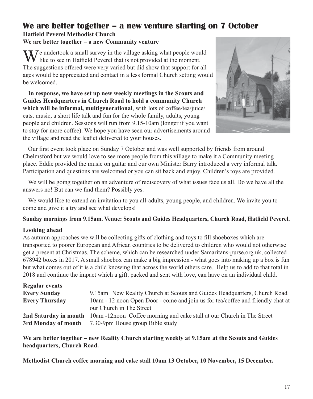## **We are better together – a new venture starting on 7 October Hatfield Peverel Methodist Church**

#### **We are better together – a new Community venture**

We undertook a small survey in the village asking what people would like to see in Hatfield Peverel that is not provided at the moment. The suggestions offered were very varied but did show that support for all ages would be appreciated and contact in a less formal Church setting would be welcomed.

**In response, we have set up new weekly meetings in the Scouts and Guides Headquarters in Church Road to hold a community Church which will be informal, multigenerational**, with lots of coffee/tea/juice/ eats, music, a short life talk and fun for the whole family, adults, young people and children. Sessions will run from 9.15-10am (longer if you want to stay for more coffee). We hope you have seen our advertisements around the village and read the leaflet delivered to your houses.



Our first event took place on Sunday 7 October and was well supported by friends from around Chelmsford but we would love to see more people from this village to make it a Community meeting place. Eddie provided the music on guitar and our own Minister Barry introduced a very informal talk. Participation and questions are welcomed or you can sit back and enjoy. Children's toys are provided.

We will be going together on an adventure of rediscovery of what issues face us all. Do we have all the answers no! But can we find them? Possibly yes.

We would like to extend an invitation to you all-adults, young people, and children. We invite you to come and give it a try and see what develops!

#### **Sunday mornings from 9.15am. Venue: Scouts and Guides Headquarters, Church Road, Hatfield Peverel.**

#### **Looking ahead**

As autumn approaches we will be collecting gifts of clothing and toys to fill shoeboxes which are transported to poorer European and African countries to be delivered to children who would not otherwise get a present at Christmas. The scheme, which can be researched under Samaritans-purse.org.uk, collected 678942 boxes in 2017. A small shoebox can make a big impression - what goes into making up a box is fun but what comes out of it is a child knowing that across the world others care. Help us to add to that total in 2018 and continue the impact which a gift, packed and sent with love, can have on an individual child.

| <b>Regular events</b> |                                                                                                                                  |
|-----------------------|----------------------------------------------------------------------------------------------------------------------------------|
| <b>Every Sunday</b>   | 9.15am New Reality Church at Scouts and Guides Headquarters, Church Road                                                         |
| <b>Every Thursday</b> | 10am - 12 noon Open Door - come and join us for tea/coffee and friendly chat at<br>our Church in The Street                      |
| 3rd Monday of month   | 2nd Saturday in month 10am -12noon Coffee morning and cake stall at our Church in The Street<br>7.30-9pm House group Bible study |

**We are better together – new Reality Church starting weekly at 9.15am at the Scouts and Guides headquarters, Church Road.**

**Methodist Church coffee morning and cake stall 10am 13 October, 10 November, 15 December.**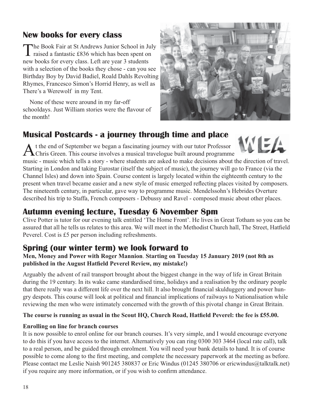## **New books for every class**

The Book Fair at St Andrews Junior School in July raised a fantastic £836 which has been spent on new books for every class. Left are year 3 students with a selection of the books they chose - can you see Birthday Boy by David Badiel, Roald Dahls Revolting Rhymes, Francesco Simon's Horrid Henry, as well as There's a Werewolf in my Tent.

 None of these were around in my far-off schooldays. Just William stories were the flavour of the month!



## **Musical Postcards - a journey through time and place**

At the end of September we began a fascinating journey with our tutor Professor Chris Green. This course involves a musical travelogue built around programme



music - music which tells a story - where students are asked to make decisions about the direction of travel. Starting in London and taking Eurostar (itself the subject of music), the journey will go to France (via the Channel Isles) and down into Spain. Course content is largely located within the eighteenth century to the present when travel became easier and a new style of music emerged reflecting places visited by composers. The nineteenth century, in particular, gave way to programme music. Mendelssohn's Hebrides Overture described his trip to Staffa, French composers - Debussy and Ravel - composed music about other places.

## **Autumn evening lecture, Tuesday 6 November 8pm**

Clive Potter is tutor for our evening talk entitled 'The Home Front'. He lives in Great Totham so you can be assured that all he tells us relates to this area. We will meet in the Methodist Church hall, The Street, Hatfield Peverel. Cost is £5 per person including refreshments.

## **Spring (our winter term) we look forward to**

**Men, Money and Power with Roger Mannion**. **Starting on Tuesday 15 January 2019 (not 8th as published in the August Hatfield Peverel Review, my mistake!)**

Arguably the advent of rail transport brought about the biggest change in the way of life in Great Britain during the 19 century. In its wake came standardised time, holidays and a realisation by the ordinary people that there really was a different life over the next hill. It also brought financial skulduggery and power hungry despots. This course will look at political and financial implications of railways to Nationalisation while reviewing the men who were intimately concerned with the growth of this pivotal change in Great Britain.

#### **The course is running as usual in the Scout HQ, Church Road, Hatfield Peverel: the fee is £55.00.**

#### **Enrolling on line for branch courses**

It is now possible to enrol online for our branch courses. It's very simple, and I would encourage everyone to do this if you have access to the internet. Alternatively you can ring 0300 303 3464 (local rate call), talk to a real person, and be guided through enrolment. You will need your bank details to hand. It is of course possible to come along to the first meeting, and complete the necessary paperwork at the meeting as before. Please contact me Leslie Naish 901245 380837 or Eric Windus (01245 380706 or ericwindus@talktalk.net) if you require any more information, or if you wish to confirm attendance.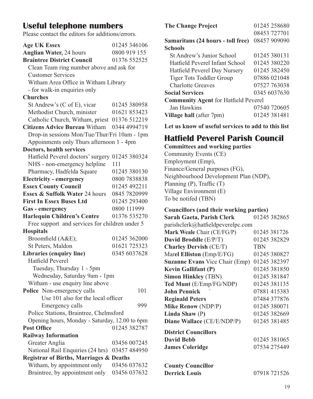## **Useful telephone numbers**

Please contact the editors for additions/errors.

| <b>Age UK Essex</b>                                | 01245 346106 |  |
|----------------------------------------------------|--------------|--|
| Anglian Water, 24 hours                            | 0800 919 155 |  |
| <b>Braintree District Council</b>                  | 01376 552525 |  |
| Clean Team ring number above and ask for           |              |  |
| <b>Customer Services</b>                           |              |  |
| Witham Area Office in Witham Library               |              |  |
| - for walk-in enquiries only                       |              |  |
| <b>Churches</b>                                    |              |  |
| St Andrew's (C of E), vicar                        | 01245 380958 |  |
| Methodist Church, minister                         | 01621 853423 |  |
| Catholic Church, Witham, priest 01376 512219       |              |  |
| Citizens Advice Bureau Witham 0344 4994719         |              |  |
| Drop-in sessions Mon/Tue/Thur/Fri 10am - 1pm       |              |  |
| Appoinments only Thurs afternoon 1 - 4pm           |              |  |
| Doctors, health services                           |              |  |
| Hatfield Peverel doctors' surgery 01245 380324     |              |  |
| NHS - non-emergency helpline                       | 111          |  |
| Pharmacy, Hadfelda Square                          | 01245 380130 |  |
| <b>Electricity - emergency</b>                     | 0800 7838838 |  |
| <b>Essex County Council</b>                        | 01245 492211 |  |
| Essex & Suffolk Water 24 hours                     | 0845 7820999 |  |
| <b>First In Essex Buses Ltd</b>                    | 01245 293400 |  |
| Gas - emergency                                    | 0800 111999  |  |
| <b>Harlequin Children's Centre</b>                 | 01376 535270 |  |
| Free support and services for children under 5     |              |  |
| <b>Hospitals</b>                                   |              |  |
| Broomfield (A&E);                                  | 01245 362000 |  |
| St Peters, Maldon                                  | 01621 725323 |  |
| Libraries (enquiry line)<br>0345 6037628           |              |  |
| <b>Hatfield Peverel</b>                            |              |  |
| Tuesday, Thursday 1 - 5pm                          |              |  |
| Wednesday, Saturday 9am - 1pm                      |              |  |
| Witham - use enquiry line above                    |              |  |
| Police Non-emergency calls                         | 101          |  |
| Use 101 also for the local officer                 |              |  |
| Emergency calls                                    | 999          |  |
| Police Stations, Braintree, Chelmsford             |              |  |
| Opening hours, Monday - Saturday, 12.00 to 6pm     |              |  |
| <b>Post Office</b>                                 | 01245 382787 |  |
| <b>Railway Information</b>                         |              |  |
| Greater Anglia                                     | 03456 007245 |  |
| National Rail Enquiries (24 hrs)                   | 03457 484950 |  |
| <b>Registrar of Births, Marriages &amp; Deaths</b> |              |  |
| Witham, by appointment only                        | 03456 037632 |  |
| Braintree, by appointment only                     | 03456 037632 |  |

| <b>The Change Project</b>                   | 01245 258680 |  |  |
|---------------------------------------------|--------------|--|--|
|                                             | 08453 727701 |  |  |
| Samaritans (24 hours - toll free)           | 08457 909090 |  |  |
| <b>Schools</b>                              |              |  |  |
| St Andrew's Junior School                   | 01245 380131 |  |  |
| Hatfield Peverel Infant School              | 01245 380220 |  |  |
| Hatfield Peverel Day Nursery                | 01245 382450 |  |  |
| Tiger Tots Toddler Group                    | 07886 021048 |  |  |
| Charlotte Greaves                           | 07527 763038 |  |  |
| <b>Social Services</b>                      | 0345 6037630 |  |  |
| <b>Community Agent for Hatfield Peverel</b> |              |  |  |
| Jan Hawkins                                 | 07540 720605 |  |  |
| Village hall (after 7pm)                    | 01245 381481 |  |  |

**Let us know of useful services to add to this list**

## **Hatfield Peverel Parish Council**

**Committees and working parties** Community Events (CE) Employment (Emp), Finance/General purposes (FG), Neighbourhood Development Plan (NDP), Planning (P), Traffic (T) Village Environment (E) To be notifed (TBN)

#### **Councillors (and their working parties)**

| Sarah Gaeta, Parish Clerk             | 01245 382865 |
|---------------------------------------|--------------|
| parishclerk@hatfieldpeverelpc.com     |              |
| Mark Weale Chair (CE/FG/P)            | 01245 381726 |
| David Broddle (E/P/T)                 | 01245 382829 |
| <b>Charley Dervish (CE/T)</b>         | TBN          |
| Marel Elliston (Emp/E/FG)             | 01245 380827 |
| <b>Suzanne Evans</b> Vice Chair (Emp) | 01245 382397 |
| <b>Kevin Gallifant (P)</b>            | 01245 381850 |
| <b>Simon Hinkley (TBN)</b>            | 01245 381847 |
| Ted Munt (E/Emp/FG/NDP)               | 01245 381135 |
| <b>John Pennick</b>                   | 07881 415383 |
| <b>Reginald Peters</b>                | 07484 377876 |
| <b>Mike Renow (NDP/P)</b>             | 01245 380071 |
| Linda Shaw $(P)$                      | 01245 382669 |
| Diane Wallace (CE/E/NDP/P)            | 01245 381485 |
| <b>District Councillors</b>           |              |
| <b>David Bebb</b>                     | 01245 381065 |
| <b>James Coleridge</b>                | 07534 275449 |
|                                       |              |
| <b>County Councillor</b>              |              |
| <b>Derrick Louis</b>                  | 07918 721526 |